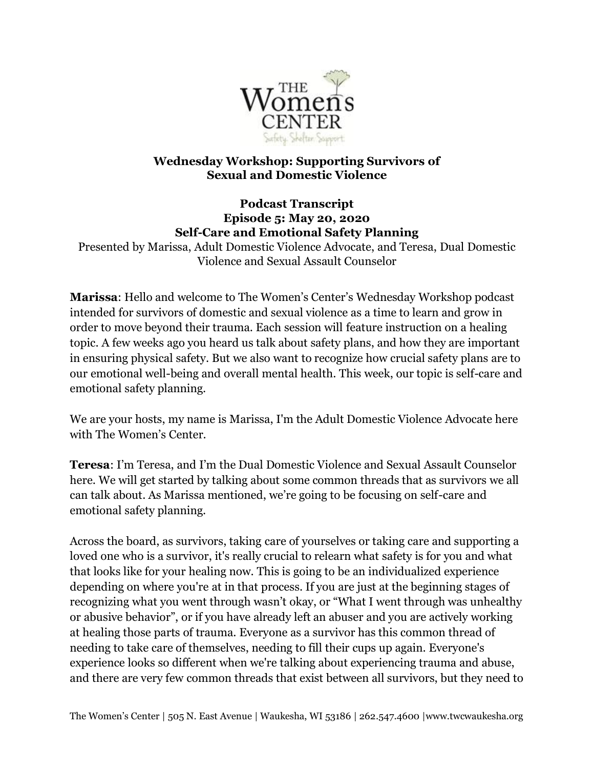

## **Wednesday Workshop: Supporting Survivors of Sexual and Domestic Violence**

## **Podcast Transcript Episode 5: May 20, 2020 Self-Care and Emotional Safety Planning**

Presented by Marissa, Adult Domestic Violence Advocate, and Teresa, Dual Domestic Violence and Sexual Assault Counselor

**Marissa**: Hello and welcome to The Women's Center's Wednesday Workshop podcast intended for survivors of domestic and sexual violence as a time to learn and grow in order to move beyond their trauma. Each session will feature instruction on a healing topic. A few weeks ago you heard us talk about safety plans, and how they are important in ensuring physical safety. But we also want to recognize how crucial safety plans are to our emotional well-being and overall mental health. This week, our topic is self-care and emotional safety planning.

We are your hosts, my name is Marissa, I'm the Adult Domestic Violence Advocate here with The Women's Center.

**Teresa**: I'm Teresa, and I'm the Dual Domestic Violence and Sexual Assault Counselor here. We will get started by talking about some common threads that as survivors we all can talk about. As Marissa mentioned, we're going to be focusing on self-care and emotional safety planning.

Across the board, as survivors, taking care of yourselves or taking care and supporting a loved one who is a survivor, it's really crucial to relearn what safety is for you and what that looks like for your healing now. This is going to be an individualized experience depending on where you're at in that process. If you are just at the beginning stages of recognizing what you went through wasn't okay, or "What I went through was unhealthy or abusive behavior", or if you have already left an abuser and you are actively working at healing those parts of trauma. Everyone as a survivor has this common thread of needing to take care of themselves, needing to fill their cups up again. Everyone's experience looks so different when we're talking about experiencing trauma and abuse, and there are very few common threads that exist between all survivors, but they need to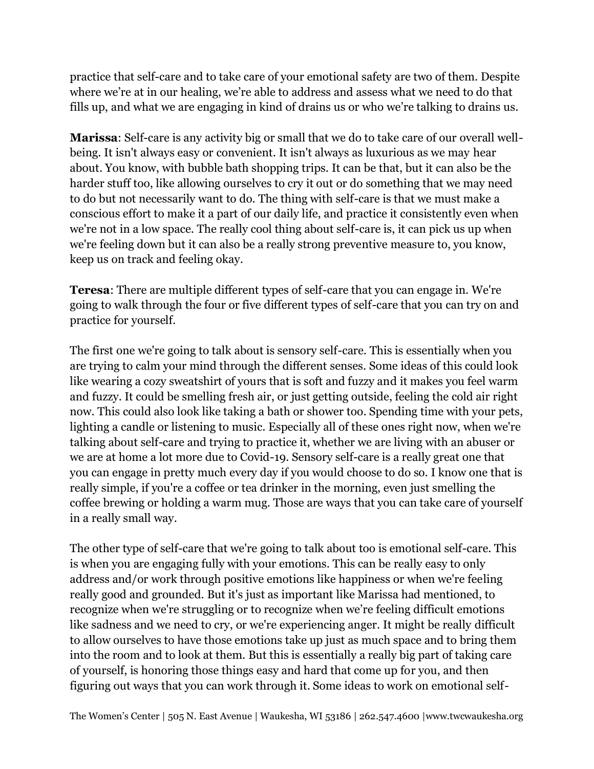practice that self-care and to take care of your emotional safety are two of them. Despite where we're at in our healing, we're able to address and assess what we need to do that fills up, and what we are engaging in kind of drains us or who we're talking to drains us.

**Marissa**: Self-care is any activity big or small that we do to take care of our overall wellbeing. It isn't always easy or convenient. It isn't always as luxurious as we may hear about. You know, with bubble bath shopping trips. It can be that, but it can also be the harder stuff too, like allowing ourselves to cry it out or do something that we may need to do but not necessarily want to do. The thing with self-care is that we must make a conscious effort to make it a part of our daily life, and practice it consistently even when we're not in a low space. The really cool thing about self-care is, it can pick us up when we're feeling down but it can also be a really strong preventive measure to, you know, keep us on track and feeling okay.

**Teresa**: There are multiple different types of self-care that you can engage in. We're going to walk through the four or five different types of self-care that you can try on and practice for yourself.

The first one we're going to talk about is sensory self-care. This is essentially when you are trying to calm your mind through the different senses. Some ideas of this could look like wearing a cozy sweatshirt of yours that is soft and fuzzy and it makes you feel warm and fuzzy. It could be smelling fresh air, or just getting outside, feeling the cold air right now. This could also look like taking a bath or shower too. Spending time with your pets, lighting a candle or listening to music. Especially all of these ones right now, when we're talking about self-care and trying to practice it, whether we are living with an abuser or we are at home a lot more due to Covid-19. Sensory self-care is a really great one that you can engage in pretty much every day if you would choose to do so. I know one that is really simple, if you're a coffee or tea drinker in the morning, even just smelling the coffee brewing or holding a warm mug. Those are ways that you can take care of yourself in a really small way.

The other type of self-care that we're going to talk about too is emotional self-care. This is when you are engaging fully with your emotions. This can be really easy to only address and/or work through positive emotions like happiness or when we're feeling really good and grounded. But it's just as important like Marissa had mentioned, to recognize when we're struggling or to recognize when we're feeling difficult emotions like sadness and we need to cry, or we're experiencing anger. It might be really difficult to allow ourselves to have those emotions take up just as much space and to bring them into the room and to look at them. But this is essentially a really big part of taking care of yourself, is honoring those things easy and hard that come up for you, and then figuring out ways that you can work through it. Some ideas to work on emotional self-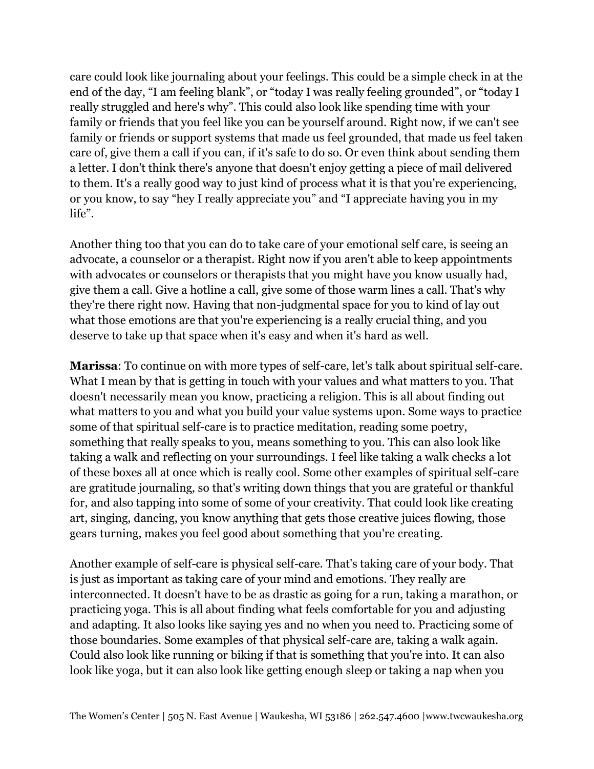care could look like journaling about your feelings. This could be a simple check in at the end of the day, "I am feeling blank", or "today I was really feeling grounded", or "today I really struggled and here's why". This could also look like spending time with your family or friends that you feel like you can be yourself around. Right now, if we can't see family or friends or support systems that made us feel grounded, that made us feel taken care of, give them a call if you can, if it's safe to do so. Or even think about sending them a letter. I don't think there's anyone that doesn't enjoy getting a piece of mail delivered to them. It's a really good way to just kind of process what it is that you're experiencing, or you know, to say "hey I really appreciate you" and "I appreciate having you in my life".

Another thing too that you can do to take care of your emotional self care, is seeing an advocate, a counselor or a therapist. Right now if you aren't able to keep appointments with advocates or counselors or therapists that you might have you know usually had, give them a call. Give a hotline a call, give some of those warm lines a call. That's why they're there right now. Having that non-judgmental space for you to kind of lay out what those emotions are that you're experiencing is a really crucial thing, and you deserve to take up that space when it's easy and when it's hard as well.

**Marissa**: To continue on with more types of self-care, let's talk about spiritual self-care. What I mean by that is getting in touch with your values and what matters to you. That doesn't necessarily mean you know, practicing a religion. This is all about finding out what matters to you and what you build your value systems upon. Some ways to practice some of that spiritual self-care is to practice meditation, reading some poetry, something that really speaks to you, means something to you. This can also look like taking a walk and reflecting on your surroundings. I feel like taking a walk checks a lot of these boxes all at once which is really cool. Some other examples of spiritual self-care are gratitude journaling, so that's writing down things that you are grateful or thankful for, and also tapping into some of some of your creativity. That could look like creating art, singing, dancing, you know anything that gets those creative juices flowing, those gears turning, makes you feel good about something that you're creating.

Another example of self-care is physical self-care. That's taking care of your body. That is just as important as taking care of your mind and emotions. They really are interconnected. It doesn't have to be as drastic as going for a run, taking a marathon, or practicing yoga. This is all about finding what feels comfortable for you and adjusting and adapting. It also looks like saying yes and no when you need to. Practicing some of those boundaries. Some examples of that physical self-care are, taking a walk again. Could also look like running or biking if that is something that you're into. It can also look like yoga, but it can also look like getting enough sleep or taking a nap when you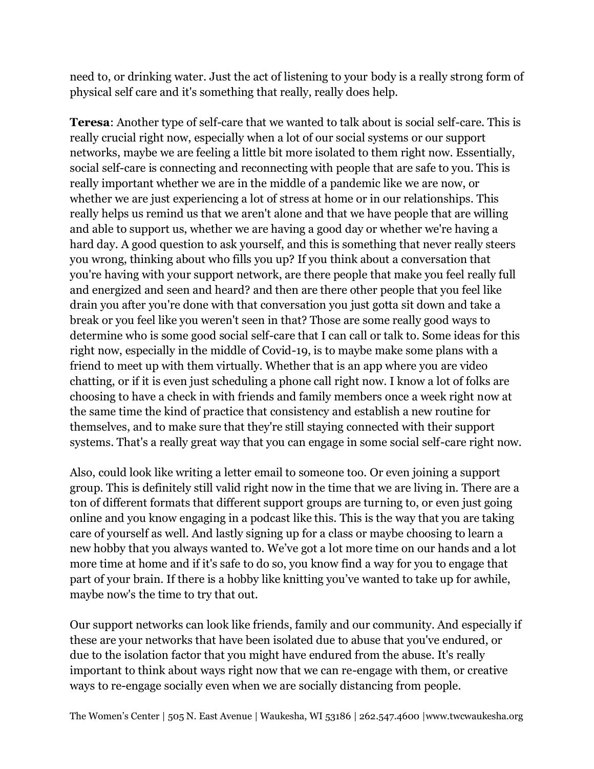need to, or drinking water. Just the act of listening to your body is a really strong form of physical self care and it's something that really, really does help.

**Teresa**: Another type of self-care that we wanted to talk about is social self-care. This is really crucial right now, especially when a lot of our social systems or our support networks, maybe we are feeling a little bit more isolated to them right now. Essentially, social self-care is connecting and reconnecting with people that are safe to you. This is really important whether we are in the middle of a pandemic like we are now, or whether we are just experiencing a lot of stress at home or in our relationships. This really helps us remind us that we aren't alone and that we have people that are willing and able to support us, whether we are having a good day or whether we're having a hard day. A good question to ask yourself, and this is something that never really steers you wrong, thinking about who fills you up? If you think about a conversation that you're having with your support network, are there people that make you feel really full and energized and seen and heard? and then are there other people that you feel like drain you after you're done with that conversation you just gotta sit down and take a break or you feel like you weren't seen in that? Those are some really good ways to determine who is some good social self-care that I can call or talk to. Some ideas for this right now, especially in the middle of Covid-19, is to maybe make some plans with a friend to meet up with them virtually. Whether that is an app where you are video chatting, or if it is even just scheduling a phone call right now. I know a lot of folks are choosing to have a check in with friends and family members once a week right now at the same time the kind of practice that consistency and establish a new routine for themselves, and to make sure that they're still staying connected with their support systems. That's a really great way that you can engage in some social self-care right now.

Also, could look like writing a letter email to someone too. Or even joining a support group. This is definitely still valid right now in the time that we are living in. There are a ton of different formats that different support groups are turning to, or even just going online and you know engaging in a podcast like this. This is the way that you are taking care of yourself as well. And lastly signing up for a class or maybe choosing to learn a new hobby that you always wanted to. We've got a lot more time on our hands and a lot more time at home and if it's safe to do so, you know find a way for you to engage that part of your brain. If there is a hobby like knitting you've wanted to take up for awhile, maybe now's the time to try that out.

Our support networks can look like friends, family and our community. And especially if these are your networks that have been isolated due to abuse that you've endured, or due to the isolation factor that you might have endured from the abuse. It's really important to think about ways right now that we can re-engage with them, or creative ways to re-engage socially even when we are socially distancing from people.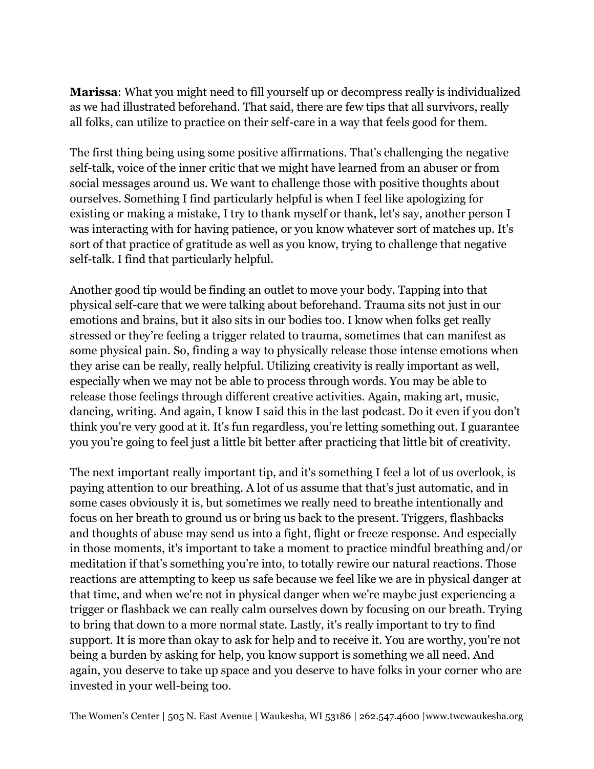**Marissa**: What you might need to fill yourself up or decompress really is individualized as we had illustrated beforehand. That said, there are few tips that all survivors, really all folks, can utilize to practice on their self-care in a way that feels good for them.

The first thing being using some positive affirmations. That's challenging the negative self-talk, voice of the inner critic that we might have learned from an abuser or from social messages around us. We want to challenge those with positive thoughts about ourselves. Something I find particularly helpful is when I feel like apologizing for existing or making a mistake, I try to thank myself or thank, let's say, another person I was interacting with for having patience, or you know whatever sort of matches up. It's sort of that practice of gratitude as well as you know, trying to challenge that negative self-talk. I find that particularly helpful.

Another good tip would be finding an outlet to move your body. Tapping into that physical self-care that we were talking about beforehand. Trauma sits not just in our emotions and brains, but it also sits in our bodies too. I know when folks get really stressed or they're feeling a trigger related to trauma, sometimes that can manifest as some physical pain. So, finding a way to physically release those intense emotions when they arise can be really, really helpful. Utilizing creativity is really important as well, especially when we may not be able to process through words. You may be able to release those feelings through different creative activities. Again, making art, music, dancing, writing. And again, I know I said this in the last podcast. Do it even if you don't think you're very good at it. It's fun regardless, you're letting something out. I guarantee you you're going to feel just a little bit better after practicing that little bit of creativity.

The next important really important tip, and it's something I feel a lot of us overlook, is paying attention to our breathing. A lot of us assume that that's just automatic, and in some cases obviously it is, but sometimes we really need to breathe intentionally and focus on her breath to ground us or bring us back to the present. Triggers, flashbacks and thoughts of abuse may send us into a fight, flight or freeze response. And especially in those moments, it's important to take a moment to practice mindful breathing and/or meditation if that's something you're into, to totally rewire our natural reactions. Those reactions are attempting to keep us safe because we feel like we are in physical danger at that time, and when we're not in physical danger when we're maybe just experiencing a trigger or flashback we can really calm ourselves down by focusing on our breath. Trying to bring that down to a more normal state. Lastly, it's really important to try to find support. It is more than okay to ask for help and to receive it. You are worthy, you're not being a burden by asking for help, you know support is something we all need. And again, you deserve to take up space and you deserve to have folks in your corner who are invested in your well-being too.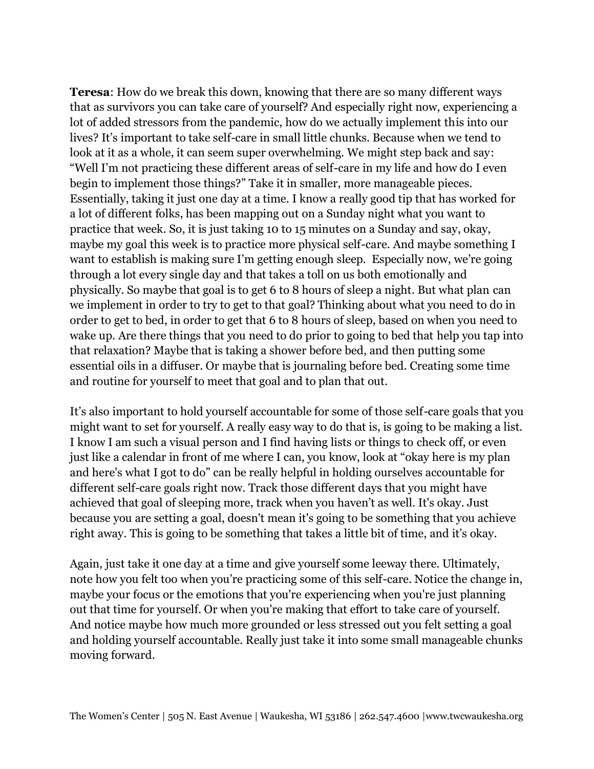**Teresa**: How do we break this down, knowing that there are so many different ways that as survivors you can take care of yourself? And especially right now, experiencing a lot of added stressors from the pandemic, how do we actually implement this into our lives? It's important to take self-care in small little chunks. Because when we tend to look at it as a whole, it can seem super overwhelming. We might step back and say: "Well I'm not practicing these different areas of self-care in my life and how do I even begin to implement those things?" Take it in smaller, more manageable pieces. Essentially, taking it just one day at a time. I know a really good tip that has worked for a lot of different folks, has been mapping out on a Sunday night what you want to practice that week. So, it is just taking 10 to 15 minutes on a Sunday and say, okay, maybe my goal this week is to practice more physical self-care. And maybe something I want to establish is making sure I'm getting enough sleep. Especially now, we're going through a lot every single day and that takes a toll on us both emotionally and physically. So maybe that goal is to get 6 to 8 hours of sleep a night. But what plan can we implement in order to try to get to that goal? Thinking about what you need to do in order to get to bed, in order to get that 6 to 8 hours of sleep, based on when you need to wake up. Are there things that you need to do prior to going to bed that help you tap into that relaxation? Maybe that is taking a shower before bed, and then putting some essential oils in a diffuser. Or maybe that is journaling before bed. Creating some time and routine for yourself to meet that goal and to plan that out.

It's also important to hold yourself accountable for some of those self-care goals that you might want to set for yourself. A really easy way to do that is, is going to be making a list. I know I am such a visual person and I find having lists or things to check off, or even just like a calendar in front of me where I can, you know, look at "okay here is my plan and here's what I got to do" can be really helpful in holding ourselves accountable for different self-care goals right now. Track those different days that you might have achieved that goal of sleeping more, track when you haven't as well. It's okay. Just because you are setting a goal, doesn't mean it's going to be something that you achieve right away. This is going to be something that takes a little bit of time, and it's okay.

Again, just take it one day at a time and give yourself some leeway there. Ultimately, note how you felt too when you're practicing some of this self-care. Notice the change in, maybe your focus or the emotions that you're experiencing when you're just planning out that time for yourself. Or when you're making that effort to take care of yourself. And notice maybe how much more grounded or less stressed out you felt setting a goal and holding yourself accountable. Really just take it into some small manageable chunks moving forward.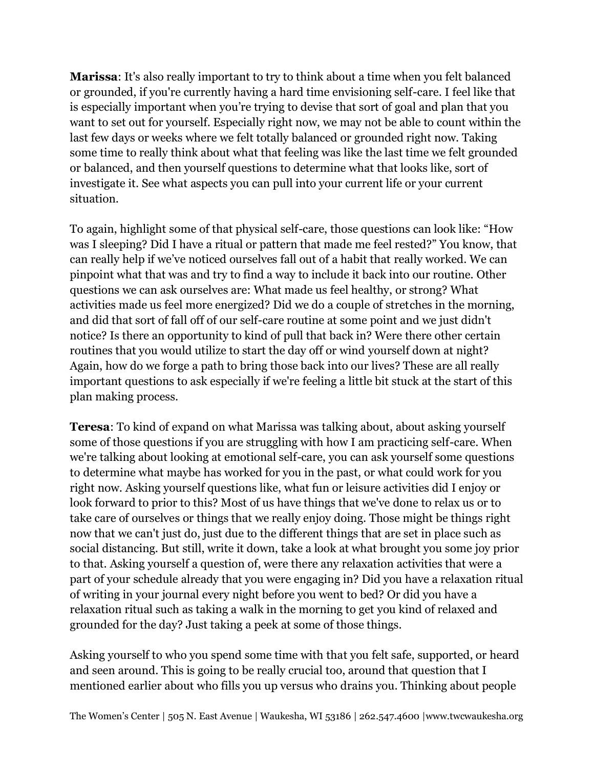**Marissa**: It's also really important to try to think about a time when you felt balanced or grounded, if you're currently having a hard time envisioning self-care. I feel like that is especially important when you're trying to devise that sort of goal and plan that you want to set out for yourself. Especially right now, we may not be able to count within the last few days or weeks where we felt totally balanced or grounded right now. Taking some time to really think about what that feeling was like the last time we felt grounded or balanced, and then yourself questions to determine what that looks like, sort of investigate it. See what aspects you can pull into your current life or your current situation.

To again, highlight some of that physical self-care, those questions can look like: "How was I sleeping? Did I have a ritual or pattern that made me feel rested?" You know, that can really help if we've noticed ourselves fall out of a habit that really worked. We can pinpoint what that was and try to find a way to include it back into our routine. Other questions we can ask ourselves are: What made us feel healthy, or strong? What activities made us feel more energized? Did we do a couple of stretches in the morning, and did that sort of fall off of our self-care routine at some point and we just didn't notice? Is there an opportunity to kind of pull that back in? Were there other certain routines that you would utilize to start the day off or wind yourself down at night? Again, how do we forge a path to bring those back into our lives? These are all really important questions to ask especially if we're feeling a little bit stuck at the start of this plan making process.

**Teresa**: To kind of expand on what Marissa was talking about, about asking yourself some of those questions if you are struggling with how I am practicing self-care. When we're talking about looking at emotional self-care, you can ask yourself some questions to determine what maybe has worked for you in the past, or what could work for you right now. Asking yourself questions like, what fun or leisure activities did I enjoy or look forward to prior to this? Most of us have things that we've done to relax us or to take care of ourselves or things that we really enjoy doing. Those might be things right now that we can't just do, just due to the different things that are set in place such as social distancing. But still, write it down, take a look at what brought you some joy prior to that. Asking yourself a question of, were there any relaxation activities that were a part of your schedule already that you were engaging in? Did you have a relaxation ritual of writing in your journal every night before you went to bed? Or did you have a relaxation ritual such as taking a walk in the morning to get you kind of relaxed and grounded for the day? Just taking a peek at some of those things.

Asking yourself to who you spend some time with that you felt safe, supported, or heard and seen around. This is going to be really crucial too, around that question that I mentioned earlier about who fills you up versus who drains you. Thinking about people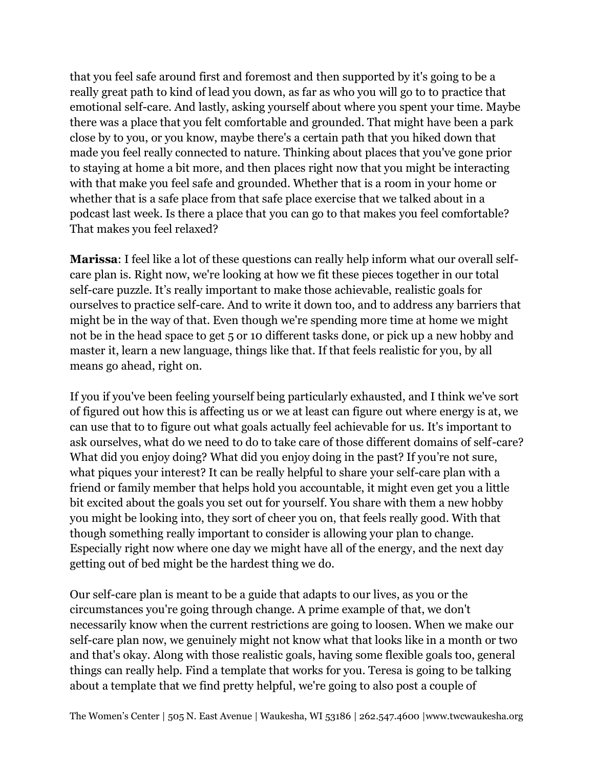that you feel safe around first and foremost and then supported by it's going to be a really great path to kind of lead you down, as far as who you will go to to practice that emotional self-care. And lastly, asking yourself about where you spent your time. Maybe there was a place that you felt comfortable and grounded. That might have been a park close by to you, or you know, maybe there's a certain path that you hiked down that made you feel really connected to nature. Thinking about places that you've gone prior to staying at home a bit more, and then places right now that you might be interacting with that make you feel safe and grounded. Whether that is a room in your home or whether that is a safe place from that safe place exercise that we talked about in a podcast last week. Is there a place that you can go to that makes you feel comfortable? That makes you feel relaxed?

**Marissa**: I feel like a lot of these questions can really help inform what our overall selfcare plan is. Right now, we're looking at how we fit these pieces together in our total self-care puzzle. It's really important to make those achievable, realistic goals for ourselves to practice self-care. And to write it down too, and to address any barriers that might be in the way of that. Even though we're spending more time at home we might not be in the head space to get 5 or 10 different tasks done, or pick up a new hobby and master it, learn a new language, things like that. If that feels realistic for you, by all means go ahead, right on.

If you if you've been feeling yourself being particularly exhausted, and I think we've sort of figured out how this is affecting us or we at least can figure out where energy is at, we can use that to to figure out what goals actually feel achievable for us. It's important to ask ourselves, what do we need to do to take care of those different domains of self-care? What did you enjoy doing? What did you enjoy doing in the past? If you're not sure, what piques your interest? It can be really helpful to share your self-care plan with a friend or family member that helps hold you accountable, it might even get you a little bit excited about the goals you set out for yourself. You share with them a new hobby you might be looking into, they sort of cheer you on, that feels really good. With that though something really important to consider is allowing your plan to change. Especially right now where one day we might have all of the energy, and the next day getting out of bed might be the hardest thing we do.

Our self-care plan is meant to be a guide that adapts to our lives, as you or the circumstances you're going through change. A prime example of that, we don't necessarily know when the current restrictions are going to loosen. When we make our self-care plan now, we genuinely might not know what that looks like in a month or two and that's okay. Along with those realistic goals, having some flexible goals too, general things can really help. Find a template that works for you. Teresa is going to be talking about a template that we find pretty helpful, we're going to also post a couple of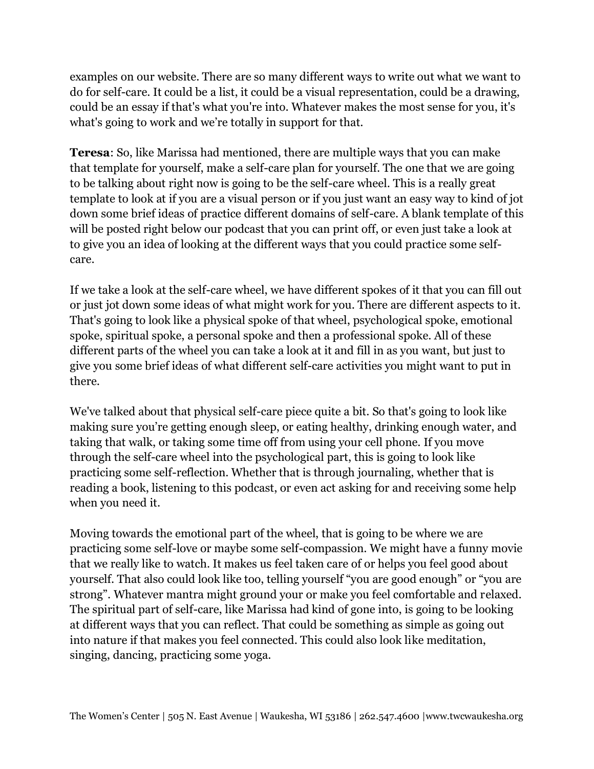examples on our website. There are so many different ways to write out what we want to do for self-care. It could be a list, it could be a visual representation, could be a drawing, could be an essay if that's what you're into. Whatever makes the most sense for you, it's what's going to work and we're totally in support for that.

**Teresa**: So, like Marissa had mentioned, there are multiple ways that you can make that template for yourself, make a self-care plan for yourself. The one that we are going to be talking about right now is going to be the self-care wheel. This is a really great template to look at if you are a visual person or if you just want an easy way to kind of jot down some brief ideas of practice different domains of self-care. A blank template of this will be posted right below our podcast that you can print off, or even just take a look at to give you an idea of looking at the different ways that you could practice some selfcare.

If we take a look at the self-care wheel, we have different spokes of it that you can fill out or just jot down some ideas of what might work for you. There are different aspects to it. That's going to look like a physical spoke of that wheel, psychological spoke, emotional spoke, spiritual spoke, a personal spoke and then a professional spoke. All of these different parts of the wheel you can take a look at it and fill in as you want, but just to give you some brief ideas of what different self-care activities you might want to put in there.

We've talked about that physical self-care piece quite a bit. So that's going to look like making sure you're getting enough sleep, or eating healthy, drinking enough water, and taking that walk, or taking some time off from using your cell phone. If you move through the self-care wheel into the psychological part, this is going to look like practicing some self-reflection. Whether that is through journaling, whether that is reading a book, listening to this podcast, or even act asking for and receiving some help when you need it.

Moving towards the emotional part of the wheel, that is going to be where we are practicing some self-love or maybe some self-compassion. We might have a funny movie that we really like to watch. It makes us feel taken care of or helps you feel good about yourself. That also could look like too, telling yourself "you are good enough" or "you are strong". Whatever mantra might ground your or make you feel comfortable and relaxed. The spiritual part of self-care, like Marissa had kind of gone into, is going to be looking at different ways that you can reflect. That could be something as simple as going out into nature if that makes you feel connected. This could also look like meditation, singing, dancing, practicing some yoga.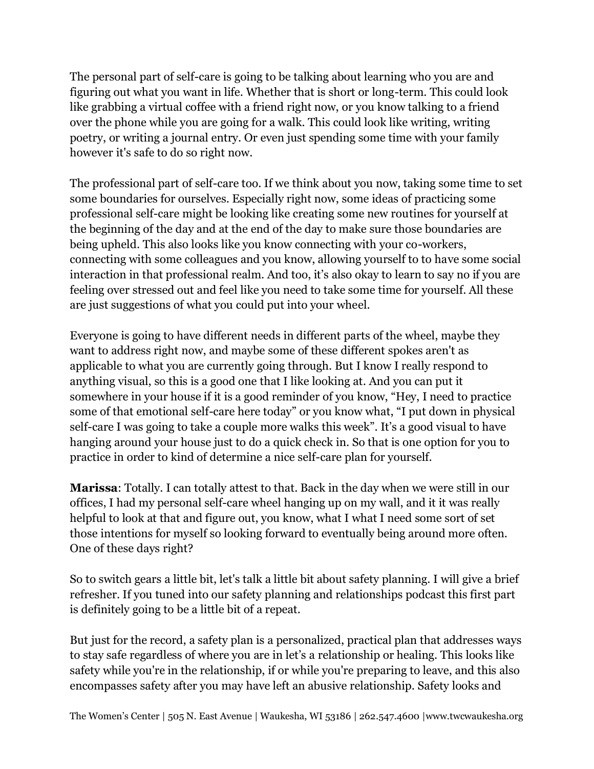The personal part of self-care is going to be talking about learning who you are and figuring out what you want in life. Whether that is short or long-term. This could look like grabbing a virtual coffee with a friend right now, or you know talking to a friend over the phone while you are going for a walk. This could look like writing, writing poetry, or writing a journal entry. Or even just spending some time with your family however it's safe to do so right now.

The professional part of self-care too. If we think about you now, taking some time to set some boundaries for ourselves. Especially right now, some ideas of practicing some professional self-care might be looking like creating some new routines for yourself at the beginning of the day and at the end of the day to make sure those boundaries are being upheld. This also looks like you know connecting with your co-workers, connecting with some colleagues and you know, allowing yourself to to have some social interaction in that professional realm. And too, it's also okay to learn to say no if you are feeling over stressed out and feel like you need to take some time for yourself. All these are just suggestions of what you could put into your wheel.

Everyone is going to have different needs in different parts of the wheel, maybe they want to address right now, and maybe some of these different spokes aren't as applicable to what you are currently going through. But I know I really respond to anything visual, so this is a good one that I like looking at. And you can put it somewhere in your house if it is a good reminder of you know, "Hey, I need to practice some of that emotional self-care here today" or you know what, "I put down in physical self-care I was going to take a couple more walks this week". It's a good visual to have hanging around your house just to do a quick check in. So that is one option for you to practice in order to kind of determine a nice self-care plan for yourself.

**Marissa**: Totally. I can totally attest to that. Back in the day when we were still in our offices, I had my personal self-care wheel hanging up on my wall, and it it was really helpful to look at that and figure out, you know, what I what I need some sort of set those intentions for myself so looking forward to eventually being around more often. One of these days right?

So to switch gears a little bit, let's talk a little bit about safety planning. I will give a brief refresher. If you tuned into our safety planning and relationships podcast this first part is definitely going to be a little bit of a repeat.

But just for the record, a safety plan is a personalized, practical plan that addresses ways to stay safe regardless of where you are in let's a relationship or healing. This looks like safety while you're in the relationship, if or while you're preparing to leave, and this also encompasses safety after you may have left an abusive relationship. Safety looks and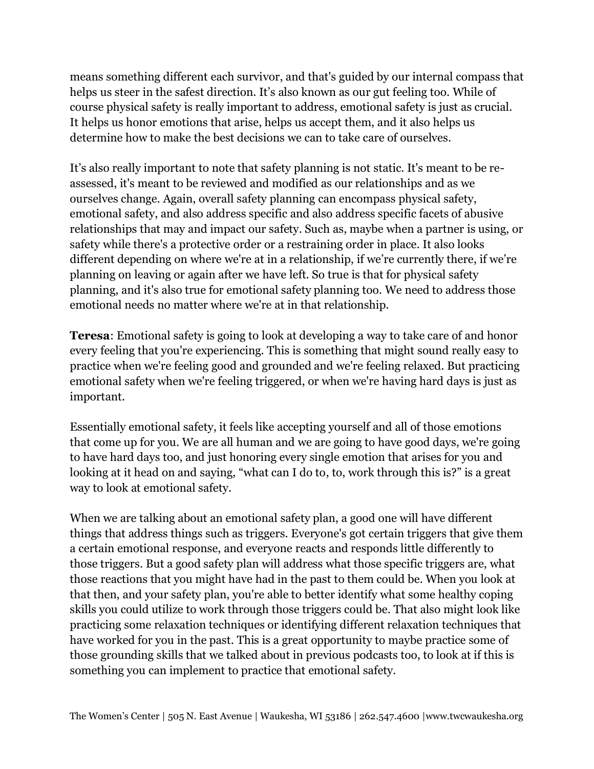means something different each survivor, and that's guided by our internal compass that helps us steer in the safest direction. It's also known as our gut feeling too. While of course physical safety is really important to address, emotional safety is just as crucial. It helps us honor emotions that arise, helps us accept them, and it also helps us determine how to make the best decisions we can to take care of ourselves.

It's also really important to note that safety planning is not static. It's meant to be reassessed, it's meant to be reviewed and modified as our relationships and as we ourselves change. Again, overall safety planning can encompass physical safety, emotional safety, and also address specific and also address specific facets of abusive relationships that may and impact our safety. Such as, maybe when a partner is using, or safety while there's a protective order or a restraining order in place. It also looks different depending on where we're at in a relationship, if we're currently there, if we're planning on leaving or again after we have left. So true is that for physical safety planning, and it's also true for emotional safety planning too. We need to address those emotional needs no matter where we're at in that relationship.

**Teresa**: Emotional safety is going to look at developing a way to take care of and honor every feeling that you're experiencing. This is something that might sound really easy to practice when we're feeling good and grounded and we're feeling relaxed. But practicing emotional safety when we're feeling triggered, or when we're having hard days is just as important.

Essentially emotional safety, it feels like accepting yourself and all of those emotions that come up for you. We are all human and we are going to have good days, we're going to have hard days too, and just honoring every single emotion that arises for you and looking at it head on and saying, "what can I do to, to, work through this is?" is a great way to look at emotional safety.

When we are talking about an emotional safety plan, a good one will have different things that address things such as triggers. Everyone's got certain triggers that give them a certain emotional response, and everyone reacts and responds little differently to those triggers. But a good safety plan will address what those specific triggers are, what those reactions that you might have had in the past to them could be. When you look at that then, and your safety plan, you're able to better identify what some healthy coping skills you could utilize to work through those triggers could be. That also might look like practicing some relaxation techniques or identifying different relaxation techniques that have worked for you in the past. This is a great opportunity to maybe practice some of those grounding skills that we talked about in previous podcasts too, to look at if this is something you can implement to practice that emotional safety.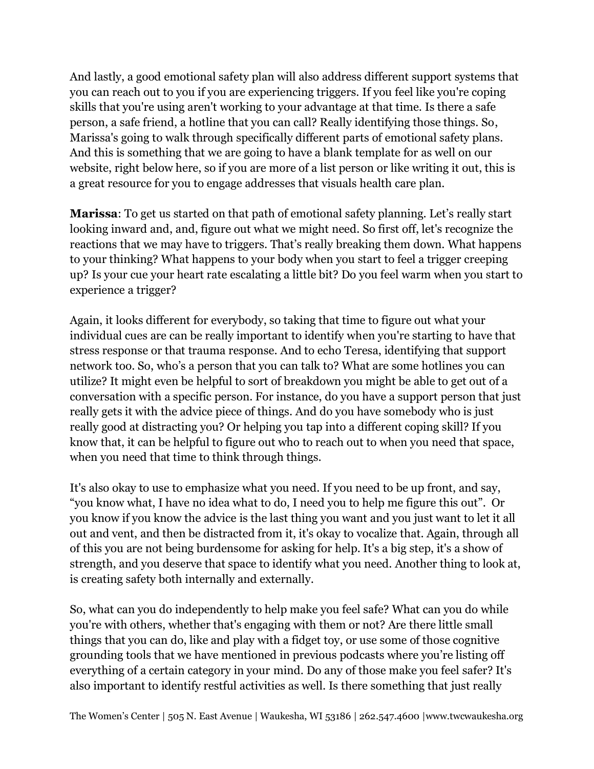And lastly, a good emotional safety plan will also address different support systems that you can reach out to you if you are experiencing triggers. If you feel like you're coping skills that you're using aren't working to your advantage at that time. Is there a safe person, a safe friend, a hotline that you can call? Really identifying those things. So, Marissa's going to walk through specifically different parts of emotional safety plans. And this is something that we are going to have a blank template for as well on our website, right below here, so if you are more of a list person or like writing it out, this is a great resource for you to engage addresses that visuals health care plan.

**Marissa**: To get us started on that path of emotional safety planning. Let's really start looking inward and, and, figure out what we might need. So first off, let's recognize the reactions that we may have to triggers. That's really breaking them down. What happens to your thinking? What happens to your body when you start to feel a trigger creeping up? Is your cue your heart rate escalating a little bit? Do you feel warm when you start to experience a trigger?

Again, it looks different for everybody, so taking that time to figure out what your individual cues are can be really important to identify when you're starting to have that stress response or that trauma response. And to echo Teresa, identifying that support network too. So, who's a person that you can talk to? What are some hotlines you can utilize? It might even be helpful to sort of breakdown you might be able to get out of a conversation with a specific person. For instance, do you have a support person that just really gets it with the advice piece of things. And do you have somebody who is just really good at distracting you? Or helping you tap into a different coping skill? If you know that, it can be helpful to figure out who to reach out to when you need that space, when you need that time to think through things.

It's also okay to use to emphasize what you need. If you need to be up front, and say, "you know what, I have no idea what to do, I need you to help me figure this out". Or you know if you know the advice is the last thing you want and you just want to let it all out and vent, and then be distracted from it, it's okay to vocalize that. Again, through all of this you are not being burdensome for asking for help. It's a big step, it's a show of strength, and you deserve that space to identify what you need. Another thing to look at, is creating safety both internally and externally.

So, what can you do independently to help make you feel safe? What can you do while you're with others, whether that's engaging with them or not? Are there little small things that you can do, like and play with a fidget toy, or use some of those cognitive grounding tools that we have mentioned in previous podcasts where you're listing off everything of a certain category in your mind. Do any of those make you feel safer? It's also important to identify restful activities as well. Is there something that just really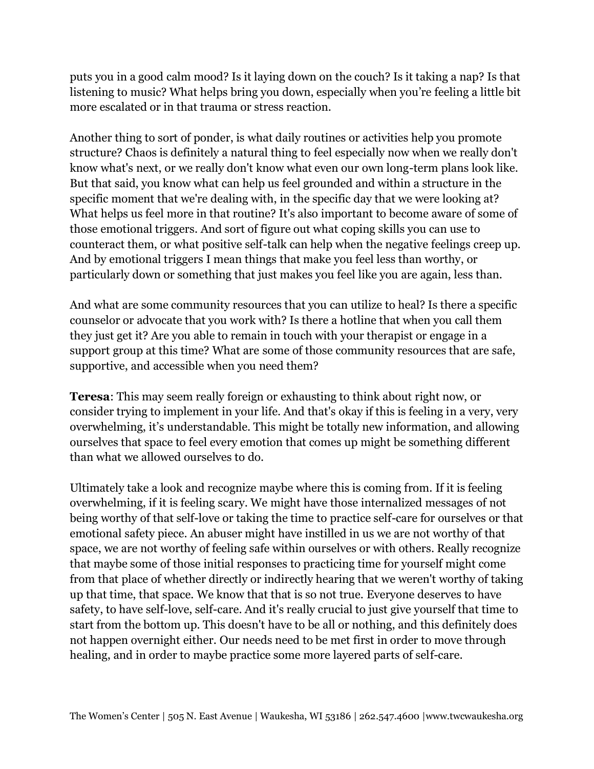puts you in a good calm mood? Is it laying down on the couch? Is it taking a nap? Is that listening to music? What helps bring you down, especially when you're feeling a little bit more escalated or in that trauma or stress reaction.

Another thing to sort of ponder, is what daily routines or activities help you promote structure? Chaos is definitely a natural thing to feel especially now when we really don't know what's next, or we really don't know what even our own long-term plans look like. But that said, you know what can help us feel grounded and within a structure in the specific moment that we're dealing with, in the specific day that we were looking at? What helps us feel more in that routine? It's also important to become aware of some of those emotional triggers. And sort of figure out what coping skills you can use to counteract them, or what positive self-talk can help when the negative feelings creep up. And by emotional triggers I mean things that make you feel less than worthy, or particularly down or something that just makes you feel like you are again, less than.

And what are some community resources that you can utilize to heal? Is there a specific counselor or advocate that you work with? Is there a hotline that when you call them they just get it? Are you able to remain in touch with your therapist or engage in a support group at this time? What are some of those community resources that are safe, supportive, and accessible when you need them?

**Teresa**: This may seem really foreign or exhausting to think about right now, or consider trying to implement in your life. And that's okay if this is feeling in a very, very overwhelming, it's understandable. This might be totally new information, and allowing ourselves that space to feel every emotion that comes up might be something different than what we allowed ourselves to do.

Ultimately take a look and recognize maybe where this is coming from. If it is feeling overwhelming, if it is feeling scary. We might have those internalized messages of not being worthy of that self-love or taking the time to practice self-care for ourselves or that emotional safety piece. An abuser might have instilled in us we are not worthy of that space, we are not worthy of feeling safe within ourselves or with others. Really recognize that maybe some of those initial responses to practicing time for yourself might come from that place of whether directly or indirectly hearing that we weren't worthy of taking up that time, that space. We know that that is so not true. Everyone deserves to have safety, to have self-love, self-care. And it's really crucial to just give yourself that time to start from the bottom up. This doesn't have to be all or nothing, and this definitely does not happen overnight either. Our needs need to be met first in order to move through healing, and in order to maybe practice some more layered parts of self-care.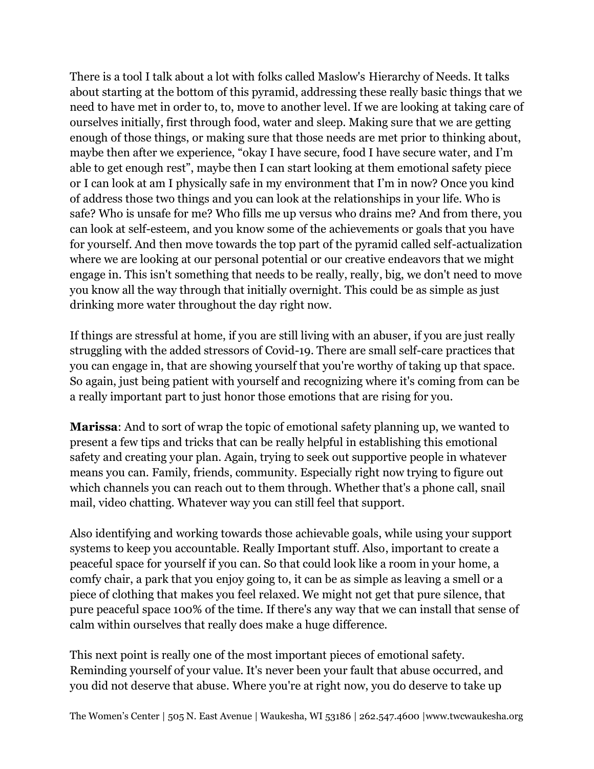There is a tool I talk about a lot with folks called Maslow's Hierarchy of Needs. It talks about starting at the bottom of this pyramid, addressing these really basic things that we need to have met in order to, to, move to another level. If we are looking at taking care of ourselves initially, first through food, water and sleep. Making sure that we are getting enough of those things, or making sure that those needs are met prior to thinking about, maybe then after we experience, "okay I have secure, food I have secure water, and I'm able to get enough rest", maybe then I can start looking at them emotional safety piece or I can look at am I physically safe in my environment that I'm in now? Once you kind of address those two things and you can look at the relationships in your life. Who is safe? Who is unsafe for me? Who fills me up versus who drains me? And from there, you can look at self-esteem, and you know some of the achievements or goals that you have for yourself. And then move towards the top part of the pyramid called self-actualization where we are looking at our personal potential or our creative endeavors that we might engage in. This isn't something that needs to be really, really, big, we don't need to move you know all the way through that initially overnight. This could be as simple as just drinking more water throughout the day right now.

If things are stressful at home, if you are still living with an abuser, if you are just really struggling with the added stressors of Covid-19. There are small self-care practices that you can engage in, that are showing yourself that you're worthy of taking up that space. So again, just being patient with yourself and recognizing where it's coming from can be a really important part to just honor those emotions that are rising for you.

**Marissa**: And to sort of wrap the topic of emotional safety planning up, we wanted to present a few tips and tricks that can be really helpful in establishing this emotional safety and creating your plan. Again, trying to seek out supportive people in whatever means you can. Family, friends, community. Especially right now trying to figure out which channels you can reach out to them through. Whether that's a phone call, snail mail, video chatting. Whatever way you can still feel that support.

Also identifying and working towards those achievable goals, while using your support systems to keep you accountable. Really Important stuff. Also, important to create a peaceful space for yourself if you can. So that could look like a room in your home, a comfy chair, a park that you enjoy going to, it can be as simple as leaving a smell or a piece of clothing that makes you feel relaxed. We might not get that pure silence, that pure peaceful space 100% of the time. If there's any way that we can install that sense of calm within ourselves that really does make a huge difference.

This next point is really one of the most important pieces of emotional safety. Reminding yourself of your value. It's never been your fault that abuse occurred, and you did not deserve that abuse. Where you're at right now, you do deserve to take up